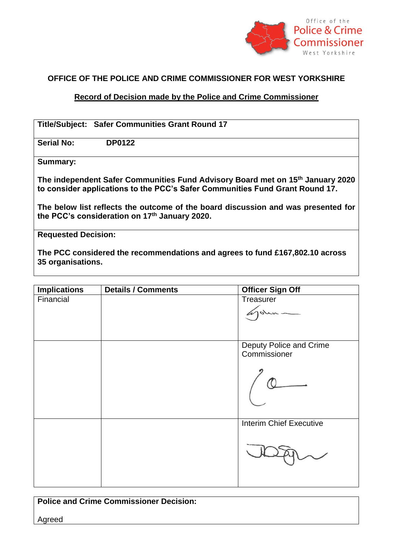

## **OFFICE OF THE POLICE AND CRIME COMMISSIONER FOR WEST YORKSHIRE**

## **Record of Decision made by the Police and Crime Commissioner**

| <b>Title/Subject: Safer Communities Grant Round 17</b>                                                                                                         |
|----------------------------------------------------------------------------------------------------------------------------------------------------------------|
| <b>Serial No:</b><br><b>DP0122</b>                                                                                                                             |
| <b>Summary:</b>                                                                                                                                                |
| The independent Safer Communities Fund Advisory Board met on 15th January 2020<br>to consider applications to the PCC's Safer Communities Fund Grant Round 17. |
| The below list reflects the outcome of the board discussion and was presented for<br>the PCC's consideration on 17th January 2020.                             |
| <b>Requested Decision:</b>                                                                                                                                     |
| The PCC considered the recommendations and agrees to fund £167,802.10 across                                                                                   |

**35 organisations.** 

| <b>Implications</b> | <b>Details / Comments</b> | <b>Officer Sign Off</b>                 |
|---------------------|---------------------------|-----------------------------------------|
| Financial           |                           | Treasurer<br>john-                      |
|                     |                           | Deputy Police and Crime<br>Commissioner |
|                     |                           | <b>Interim Chief Executive</b>          |

**Police and Crime Commissioner Decision:** Agreed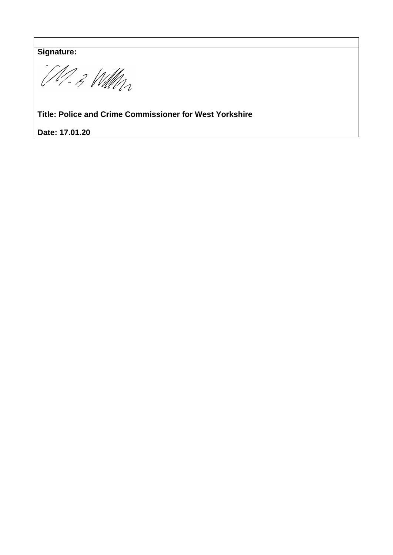**Signature:** 

M-B Will

**Title: Police and Crime Commissioner for West Yorkshire**

**Date: 17.01.20**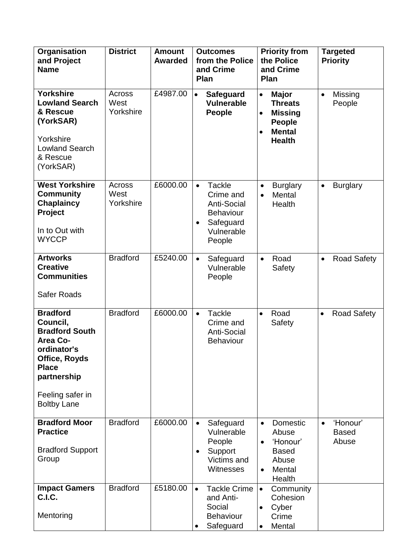| Organisation<br>and Project<br><b>Name</b>                                                                                                                                | <b>District</b>             | <b>Amount</b><br><b>Awarded</b> | <b>Outcomes</b><br>from the Police<br>and Crime<br><b>Plan</b>                                                         | <b>Priority from</b><br>the Police<br>and Crime<br>Plan                                                                                    | <b>Targeted</b><br><b>Priority</b>             |  |
|---------------------------------------------------------------------------------------------------------------------------------------------------------------------------|-----------------------------|---------------------------------|------------------------------------------------------------------------------------------------------------------------|--------------------------------------------------------------------------------------------------------------------------------------------|------------------------------------------------|--|
| <b>Yorkshire</b><br><b>Lowland Search</b><br>& Rescue<br>(YorkSAR)<br>Yorkshire<br><b>Lowland Search</b><br>& Rescue<br>(YorkSAR)                                         | Across<br>West<br>Yorkshire | £4987.00                        | $\bullet$<br><b>Safeguard</b><br><b>Vulnerable</b><br>People                                                           | <b>Major</b><br>$\bullet$<br><b>Threats</b><br><b>Missing</b><br>$\bullet$<br><b>People</b><br><b>Mental</b><br>$\bullet$<br><b>Health</b> | Missing<br>$\bullet$<br>People                 |  |
| <b>West Yorkshire</b><br><b>Community</b><br><b>Chaplaincy</b><br>Project<br>In to Out with<br><b>WYCCP</b>                                                               | Across<br>West<br>Yorkshire | £6000.00                        | <b>Tackle</b><br>$\bullet$<br>Crime and<br><b>Anti-Social</b><br><b>Behaviour</b><br>Safeguard<br>Vulnerable<br>People | <b>Burglary</b><br>$\bullet$<br>Mental<br>$\bullet$<br>Health                                                                              | <b>Burglary</b><br>$\bullet$                   |  |
| <b>Artworks</b><br><b>Creative</b><br><b>Communities</b><br><b>Safer Roads</b>                                                                                            | <b>Bradford</b>             | £5240.00                        | Safeguard<br>$\bullet$<br>Vulnerable<br>People                                                                         | Road<br>$\bullet$<br>Safety                                                                                                                | <b>Road Safety</b><br>$\bullet$                |  |
| <b>Bradford</b><br>Council,<br><b>Bradford South</b><br>Area Co-<br>ordinator's<br>Office, Royds<br><b>Place</b><br>partnership<br>Feeling safer in<br><b>Boltby Lane</b> | <b>Bradford</b>             | £6000.00                        | <b>Tackle</b><br>$\bullet$<br>Crime and<br><b>Anti-Social</b><br><b>Behaviour</b>                                      | Road<br>$\bullet$<br>Safety                                                                                                                | <b>Road Safety</b><br>$\bullet$                |  |
| <b>Bradford Moor</b><br><b>Practice</b><br><b>Bradford Support</b><br>Group                                                                                               | <b>Bradford</b>             | £6000.00                        | Safeguard<br>$\bullet$<br>Vulnerable<br>People<br>Support<br>$\bullet$<br>Victims and<br>Witnesses                     | Domestic<br>$\bullet$<br>Abuse<br>'Honour'<br>$\bullet$<br><b>Based</b><br>Abuse<br>Mental<br>$\bullet$<br>Health                          | 'Honour'<br>$\bullet$<br><b>Based</b><br>Abuse |  |
| <b>Impact Gamers</b><br>C.I.C.<br>Mentoring                                                                                                                               | <b>Bradford</b>             | £5180.00                        | <b>Tackle Crime</b><br>$\bullet$<br>and Anti-<br>Social<br><b>Behaviour</b><br>Safeguard                               | Community<br>$\bullet$<br>Cohesion<br>Cyber<br>$\bullet$<br>Crime<br>Mental<br>$\bullet$                                                   |                                                |  |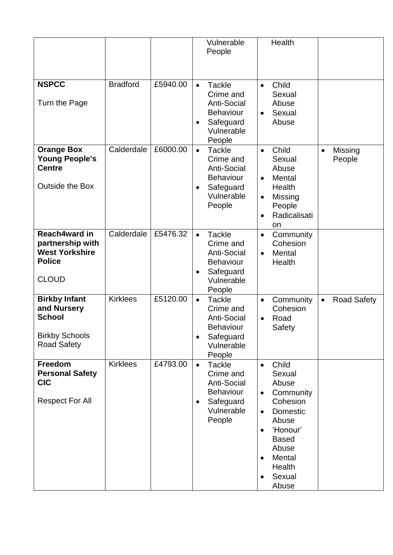|                                                                                                     |                 |          |                        | Vulnerable<br>People                                                                                      |                                                                            | Health                                                                                                                                             |           |                    |
|-----------------------------------------------------------------------------------------------------|-----------------|----------|------------------------|-----------------------------------------------------------------------------------------------------------|----------------------------------------------------------------------------|----------------------------------------------------------------------------------------------------------------------------------------------------|-----------|--------------------|
| <b>NSPCC</b><br>Turn the Page                                                                       | <b>Bradford</b> | £5940.00 | $\bullet$              | <b>Tackle</b><br>Crime and<br><b>Anti-Social</b><br><b>Behaviour</b><br>Safeguard<br>Vulnerable<br>People | $\bullet$<br>$\bullet$                                                     | Child<br>Sexual<br>Abuse<br>Sexual<br>Abuse                                                                                                        |           |                    |
| <b>Orange Box</b><br><b>Young People's</b><br><b>Centre</b><br><b>Outside the Box</b>               | Calderdale      | £6000.00 | $\bullet$              | <b>Tackle</b><br>Crime and<br>Anti-Social<br><b>Behaviour</b><br>Safeguard<br>Vulnerable<br>People        | $\bullet$<br>$\bullet$<br>$\bullet$<br>$\bullet$                           | Child<br>Sexual<br>Abuse<br>Mental<br>Health<br>Missing<br>People<br>Radicalisati<br>on                                                            | $\bullet$ | Missing<br>People  |
| Reach4ward in<br>partnership with<br><b>West Yorkshire</b><br><b>Police</b><br><b>CLOUD</b>         | Calderdale      | £5476.32 | $\bullet$<br>$\bullet$ | <b>Tackle</b><br>Crime and<br><b>Anti-Social</b><br><b>Behaviour</b><br>Safeguard<br>Vulnerable<br>People | $\bullet$<br>$\bullet$                                                     | Community<br>Cohesion<br>Mental<br>Health                                                                                                          |           |                    |
| <b>Birkby Infant</b><br>and Nursery<br><b>School</b><br><b>Birkby Schools</b><br><b>Road Safety</b> | <b>Kirklees</b> | £5120.00 | $\bullet$              | <b>Tackle</b><br>Crime and<br><b>Anti-Social</b><br><b>Behaviour</b><br>Safeguard<br>Vulnerable<br>People | $\bullet$<br>$\bullet$                                                     | Community<br>Cohesion<br>Road<br>Safety                                                                                                            | $\bullet$ | <b>Road Safety</b> |
| <b>Freedom</b><br><b>Personal Safety</b><br><b>CIC</b><br><b>Respect For All</b>                    | <b>Kirklees</b> | £4793.00 | $\bullet$<br>$\bullet$ | <b>Tackle</b><br>Crime and<br><b>Anti-Social</b><br><b>Behaviour</b><br>Safeguard<br>Vulnerable<br>People | $\bullet$<br>$\bullet$<br>$\bullet$<br>$\bullet$<br>$\bullet$<br>$\bullet$ | Child<br>Sexual<br>Abuse<br>Community<br>Cohesion<br>Domestic<br>Abuse<br>'Honour'<br><b>Based</b><br>Abuse<br>Mental<br>Health<br>Sexual<br>Abuse |           |                    |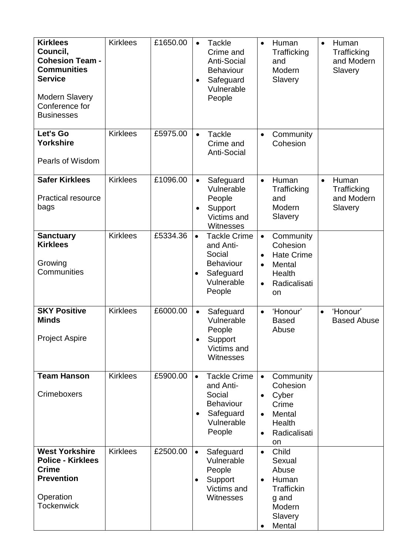| <b>Kirklees</b><br>Council,<br><b>Cohesion Team -</b><br><b>Communities</b><br><b>Service</b><br><b>Modern Slavery</b><br>Conference for<br><b>Businesses</b> | <b>Kirklees</b> | £1650.00 | $\bullet$<br>$\bullet$ | <b>Tackle</b><br>Crime and<br><b>Anti-Social</b><br><b>Behaviour</b><br>Safeguard<br>Vulnerable<br>People | $\bullet$                                        | Human<br>Trafficking<br>and<br>Modern<br>Slavery                                               | $\bullet$ | Human<br>Trafficking<br>and Modern<br>Slavery |
|---------------------------------------------------------------------------------------------------------------------------------------------------------------|-----------------|----------|------------------------|-----------------------------------------------------------------------------------------------------------|--------------------------------------------------|------------------------------------------------------------------------------------------------|-----------|-----------------------------------------------|
| Let's Go<br><b>Yorkshire</b><br>Pearls of Wisdom                                                                                                              | <b>Kirklees</b> | £5975.00 | $\bullet$              | <b>Tackle</b><br>Crime and<br><b>Anti-Social</b>                                                          | $\bullet$                                        | Community<br>Cohesion                                                                          |           |                                               |
| <b>Safer Kirklees</b><br><b>Practical resource</b><br>bags                                                                                                    | <b>Kirklees</b> | £1096.00 | $\bullet$<br>$\bullet$ | Safeguard<br>Vulnerable<br>People<br>Support<br>Victims and<br>Witnesses                                  | $\bullet$                                        | Human<br>Trafficking<br>and<br>Modern<br>Slavery                                               | $\bullet$ | Human<br>Trafficking<br>and Modern<br>Slavery |
| <b>Sanctuary</b><br><b>Kirklees</b><br>Growing<br>Communities                                                                                                 | <b>Kirklees</b> | £5334.36 | $\bullet$<br>$\bullet$ | <b>Tackle Crime</b><br>and Anti-<br>Social<br><b>Behaviour</b><br>Safeguard<br>Vulnerable<br>People       | $\bullet$<br>$\bullet$<br>$\bullet$<br>$\bullet$ | Community<br>Cohesion<br><b>Hate Crime</b><br>Mental<br>Health<br>Radicalisati<br>on           |           |                                               |
| <b>SKY Positive</b><br><b>Minds</b><br><b>Project Aspire</b>                                                                                                  | <b>Kirklees</b> | £6000.00 | $\bullet$              | Safeguard<br>Vulnerable<br>People<br>Support<br>Victims and<br>Witnesses                                  | $\bullet$                                        | 'Honour'<br><b>Based</b><br>Abuse                                                              | $\bullet$ | 'Honour'<br><b>Based Abuse</b>                |
| <b>Team Hanson</b><br>Crimeboxers                                                                                                                             | <b>Kirklees</b> | £5900.00 | $\bullet$              | <b>Tackle Crime</b><br>and Anti-<br>Social<br><b>Behaviour</b><br>Safeguard<br>Vulnerable<br>People       | $\bullet$<br>$\bullet$<br>$\bullet$<br>$\bullet$ | Community<br>Cohesion<br>Cyber<br>Crime<br><b>Mental</b><br>Health<br>Radicalisati<br>on       |           |                                               |
| <b>West Yorkshire</b><br><b>Police - Kirklees</b><br><b>Crime</b><br><b>Prevention</b><br>Operation<br><b>Tockenwick</b>                                      | <b>Kirklees</b> | £2500.00 | $\bullet$<br>٠         | Safeguard<br>Vulnerable<br>People<br>Support<br>Victims and<br>Witnesses                                  | $\bullet$<br>$\bullet$                           | Child<br>Sexual<br>Abuse<br>Human<br><b>Traffickin</b><br>g and<br>Modern<br>Slavery<br>Mental |           |                                               |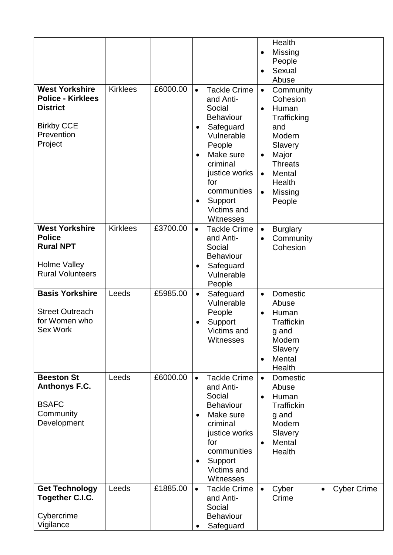|                                                                      |                 |          |           |                                                                | $\bullet$<br>$\bullet$ | Health<br>Missing<br>People<br>Sexual<br>Abuse |           |                    |
|----------------------------------------------------------------------|-----------------|----------|-----------|----------------------------------------------------------------|------------------------|------------------------------------------------|-----------|--------------------|
| <b>West Yorkshire</b><br><b>Police - Kirklees</b><br><b>District</b> | <b>Kirklees</b> | £6000.00 | $\bullet$ | <b>Tackle Crime</b><br>and Anti-<br>Social<br><b>Behaviour</b> | $\bullet$<br>$\bullet$ | Community<br>Cohesion<br>Human<br>Trafficking  |           |                    |
| <b>Birkby CCE</b><br>Prevention<br>Project                           |                 |          | $\bullet$ | Safeguard<br>Vulnerable<br>People                              |                        | and<br>Modern<br>Slavery                       |           |                    |
|                                                                      |                 |          | $\bullet$ | Make sure<br>criminal<br>justice works<br>for                  | $\bullet$<br>$\bullet$ | Major<br><b>Threats</b><br>Mental<br>Health    |           |                    |
|                                                                      |                 |          |           | communities<br>Support<br>Victims and<br>Witnesses             | $\bullet$              | Missing<br>People                              |           |                    |
| <b>West Yorkshire</b><br><b>Police</b><br><b>Rural NPT</b>           | <b>Kirklees</b> | £3700.00 | $\bullet$ | <b>Tackle Crime</b><br>and Anti-<br>Social<br><b>Behaviour</b> | $\bullet$              | <b>Burglary</b><br>Community<br>Cohesion       |           |                    |
| <b>Holme Valley</b><br><b>Rural Volunteers</b>                       |                 |          |           | Safeguard<br>Vulnerable<br>People                              |                        |                                                |           |                    |
| <b>Basis Yorkshire</b>                                               | Leeds           | £5985.00 | $\bullet$ | Safeguard<br>Vulnerable                                        | $\bullet$              | Domestic<br>Abuse                              |           |                    |
| <b>Street Outreach</b><br>for Women who                              |                 |          |           | People                                                         | $\bullet$              | Human                                          |           |                    |
| <b>Sex Work</b>                                                      |                 |          |           | Support<br>Victims and<br>Witnesses                            |                        | <b>Traffickin</b><br>g and<br>Modern           |           |                    |
|                                                                      |                 |          |           |                                                                | $\bullet$              | Slavery<br>Mental<br>Health                    |           |                    |
| <b>Beeston St</b><br>Anthonys F.C.                                   | Leeds           | £6000.00 | $\bullet$ | <b>Tackle Crime</b><br>and Anti-                               | $\bullet$              | Domestic<br>Abuse                              |           |                    |
| <b>BSAFC</b>                                                         |                 |          |           | Social<br><b>Behaviour</b>                                     |                        | Human<br><b>Traffickin</b>                     |           |                    |
| Community<br>Development                                             |                 |          | $\bullet$ | Make sure<br>criminal                                          |                        | g and<br>Modern                                |           |                    |
|                                                                      |                 |          |           | justice works<br>for                                           | $\bullet$              | Slavery<br>Mental                              |           |                    |
|                                                                      |                 |          |           | communities<br>Support                                         |                        | Health                                         |           |                    |
|                                                                      |                 |          |           | Victims and<br><b>Witnesses</b>                                |                        |                                                |           |                    |
| <b>Get Technology</b><br><b>Together C.I.C.</b>                      | Leeds           | £1885.00 |           | <b>Tackle Crime</b><br>and Anti-                               |                        | Cyber<br>Crime                                 | $\bullet$ | <b>Cyber Crime</b> |
| Cybercrime                                                           |                 |          |           | Social<br><b>Behaviour</b>                                     |                        |                                                |           |                    |
| Vigilance                                                            |                 |          | $\bullet$ | Safeguard                                                      |                        |                                                |           |                    |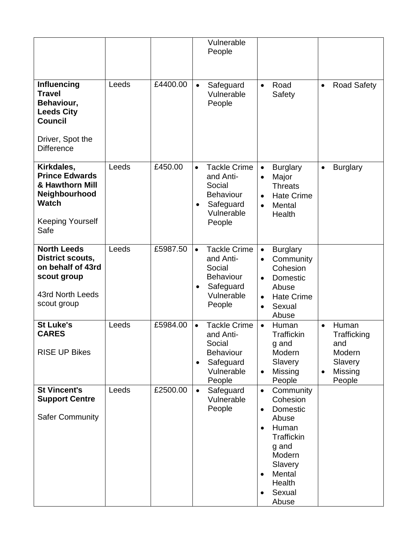|                                                                                                                                   |       |          |                        | Vulnerable<br>People                                                                                |                                                               |                                                                                                                                               |                        |                                                                       |
|-----------------------------------------------------------------------------------------------------------------------------------|-------|----------|------------------------|-----------------------------------------------------------------------------------------------------|---------------------------------------------------------------|-----------------------------------------------------------------------------------------------------------------------------------------------|------------------------|-----------------------------------------------------------------------|
| <b>Influencing</b><br><b>Travel</b><br>Behaviour,<br><b>Leeds City</b><br><b>Council</b><br>Driver, Spot the<br><b>Difference</b> | Leeds | £4400.00 | $\bullet$              | Safeguard<br>Vulnerable<br>People                                                                   | $\bullet$                                                     | Road<br>Safety                                                                                                                                | $\bullet$              | <b>Road Safety</b>                                                    |
| Kirkdales,<br><b>Prince Edwards</b><br>& Hawthorn Mill<br>Neighbourhood<br><b>Watch</b><br><b>Keeping Yourself</b><br>Safe        | Leeds | £450.00  | $\bullet$<br>$\bullet$ | <b>Tackle Crime</b><br>and Anti-<br>Social<br><b>Behaviour</b><br>Safeguard<br>Vulnerable<br>People | $\bullet$<br>$\bullet$<br>$\bullet$                           | <b>Burglary</b><br>Major<br><b>Threats</b><br><b>Hate Crime</b><br>Mental<br>Health                                                           | $\bullet$              | <b>Burglary</b>                                                       |
| <b>North Leeds</b><br><b>District scouts,</b><br>on behalf of 43rd<br>scout group<br>43rd North Leeds<br>scout group              | Leeds | £5987.50 | $\bullet$              | <b>Tackle Crime</b><br>and Anti-<br>Social<br><b>Behaviour</b><br>Safeguard<br>Vulnerable<br>People | $\bullet$<br>$\bullet$<br>$\bullet$<br>$\bullet$<br>$\bullet$ | <b>Burglary</b><br>Community<br>Cohesion<br>Domestic<br>Abuse<br><b>Hate Crime</b><br>Sexual<br>Abuse                                         |                        |                                                                       |
| <b>St Luke's</b><br><b>CARES</b><br><b>RISE UP Bikes</b>                                                                          | Leeds | £5984.00 | $\bullet$<br>$\bullet$ | <b>Tackle Crime</b><br>and Anti-<br>Social<br><b>Behaviour</b><br>Safeguard<br>Vulnerable<br>People | $\bullet$<br>$\bullet$                                        | Human<br>Traffickin<br>g and<br>Modern<br>Slavery<br>Missing<br>People                                                                        | $\bullet$<br>$\bullet$ | Human<br>Trafficking<br>and<br>Modern<br>Slavery<br>Missing<br>People |
| <b>St Vincent's</b><br><b>Support Centre</b><br><b>Safer Community</b>                                                            | Leeds | £2500.00 | $\bullet$              | Safeguard<br>Vulnerable<br>People                                                                   | $\bullet$<br>$\bullet$<br>$\bullet$<br>$\bullet$<br>$\bullet$ | Community<br>Cohesion<br>Domestic<br>Abuse<br>Human<br><b>Traffickin</b><br>g and<br>Modern<br>Slavery<br>Mental<br>Health<br>Sexual<br>Abuse |                        |                                                                       |